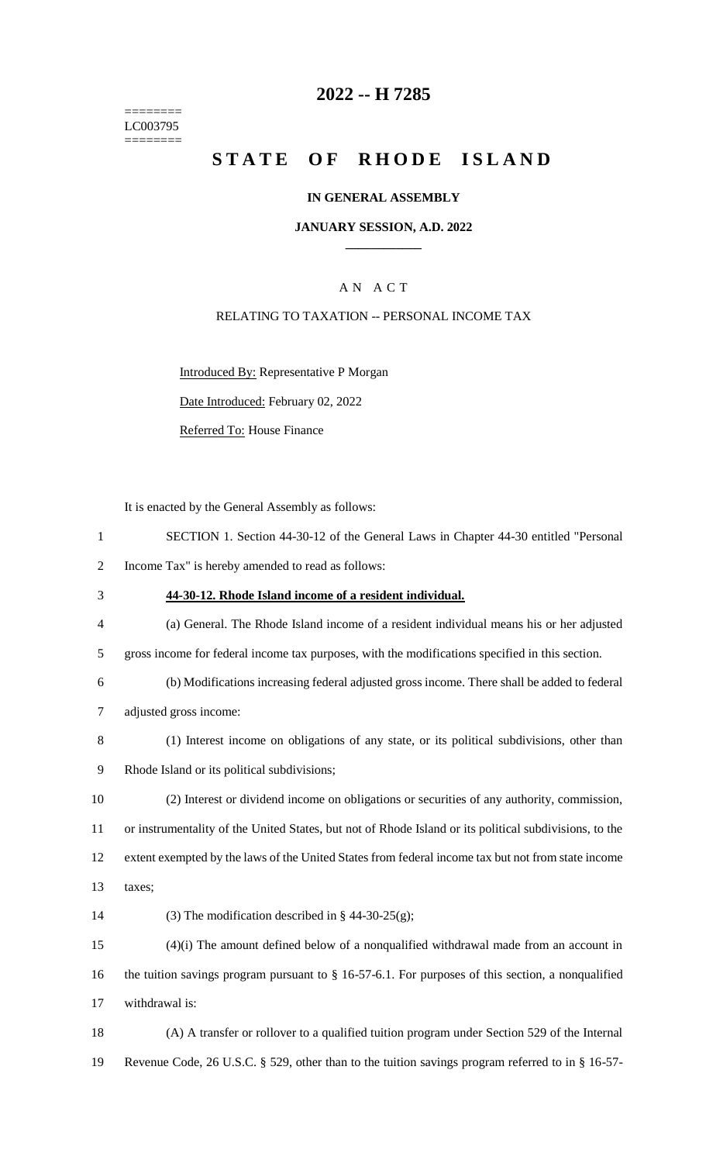======== LC003795  $=$ 

# **2022 -- H 7285**

# STATE OF RHODE ISLAND

### **IN GENERAL ASSEMBLY**

### **JANUARY SESSION, A.D. 2022 \_\_\_\_\_\_\_\_\_\_\_\_**

### A N A C T

### RELATING TO TAXATION -- PERSONAL INCOME TAX

Introduced By: Representative P Morgan

Date Introduced: February 02, 2022

Referred To: House Finance

It is enacted by the General Assembly as follows:

| $\mathbf{1}$             | SECTION 1. Section 44-30-12 of the General Laws in Chapter 44-30 entitled "Personal                    |
|--------------------------|--------------------------------------------------------------------------------------------------------|
| $\overline{2}$           | Income Tax" is hereby amended to read as follows:                                                      |
| 3                        | 44-30-12. Rhode Island income of a resident individual.                                                |
| $\overline{\mathcal{A}}$ | (a) General. The Rhode Island income of a resident individual means his or her adjusted                |
| 5                        | gross income for federal income tax purposes, with the modifications specified in this section.        |
| 6                        | (b) Modifications increasing federal adjusted gross income. There shall be added to federal            |
| $\tau$                   | adjusted gross income:                                                                                 |
| $8\,$                    | (1) Interest income on obligations of any state, or its political subdivisions, other than             |
| 9                        | Rhode Island or its political subdivisions;                                                            |
| 10                       | (2) Interest or dividend income on obligations or securities of any authority, commission,             |
| 11                       | or instrumentality of the United States, but not of Rhode Island or its political subdivisions, to the |
| 12                       | extent exempted by the laws of the United States from federal income tax but not from state income     |
| 13                       | taxes;                                                                                                 |
| 14                       | (3) The modification described in § 44-30-25(g);                                                       |
| 15                       | $(4)(i)$ The amount defined below of a nonqualified withdrawal made from an account in                 |
| 16                       | the tuition savings program pursuant to $\S$ 16-57-6.1. For purposes of this section, a nonqualified   |
| 17                       | withdrawal is:                                                                                         |
| 18                       | (A) A transfer or rollover to a qualified tuition program under Section 529 of the Internal            |
| 19                       | Revenue Code, 26 U.S.C. § 529, other than to the tuition savings program referred to in § 16-57-       |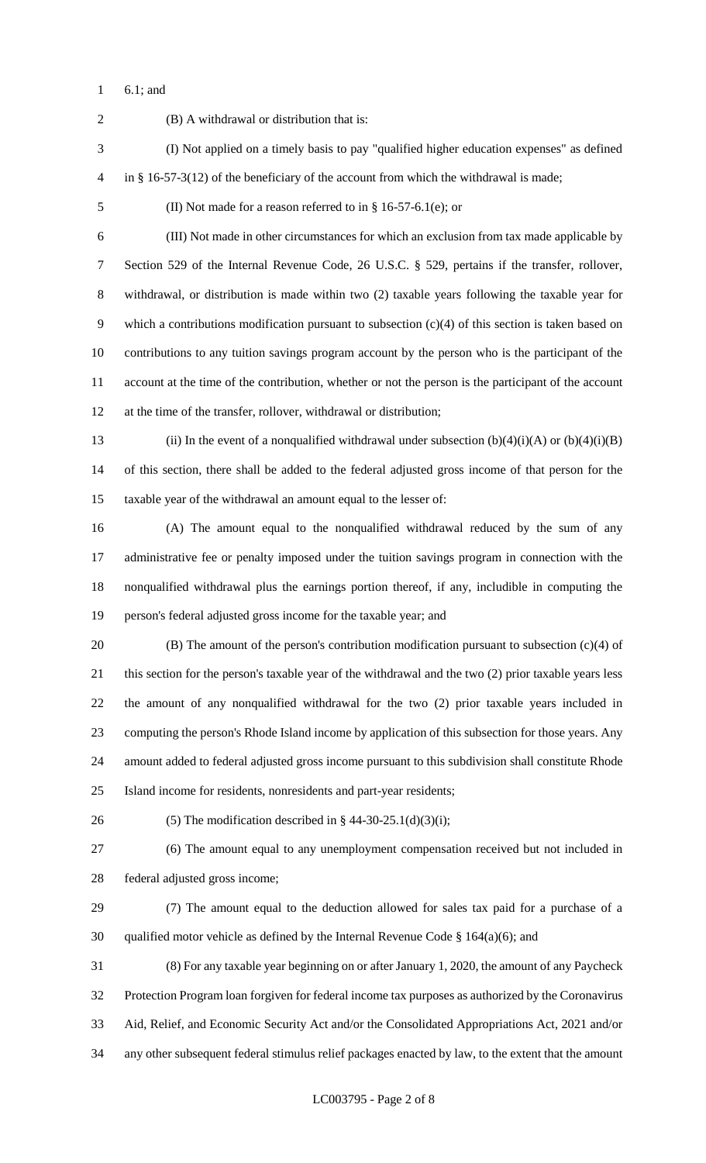6.1; and

 (B) A withdrawal or distribution that is: (I) Not applied on a timely basis to pay "qualified higher education expenses" as defined in § 16-57-3(12) of the beneficiary of the account from which the withdrawal is made; (II) Not made for a reason referred to in § 16-57-6.1(e); or (III) Not made in other circumstances for which an exclusion from tax made applicable by Section 529 of the Internal Revenue Code, 26 U.S.C. § 529, pertains if the transfer, rollover, withdrawal, or distribution is made within two (2) taxable years following the taxable year for which a contributions modification pursuant to subsection (c)(4) of this section is taken based on contributions to any tuition savings program account by the person who is the participant of the account at the time of the contribution, whether or not the person is the participant of the account at the time of the transfer, rollover, withdrawal or distribution; 13 (ii) In the event of a nonqualified withdrawal under subsection  $(b)(4)(i)(A)$  or  $(b)(4)(i)(B)$  of this section, there shall be added to the federal adjusted gross income of that person for the taxable year of the withdrawal an amount equal to the lesser of: (A) The amount equal to the nonqualified withdrawal reduced by the sum of any administrative fee or penalty imposed under the tuition savings program in connection with the nonqualified withdrawal plus the earnings portion thereof, if any, includible in computing the person's federal adjusted gross income for the taxable year; and (B) The amount of the person's contribution modification pursuant to subsection (c)(4) of this section for the person's taxable year of the withdrawal and the two (2) prior taxable years less the amount of any nonqualified withdrawal for the two (2) prior taxable years included in computing the person's Rhode Island income by application of this subsection for those years. Any amount added to federal adjusted gross income pursuant to this subdivision shall constitute Rhode Island income for residents, nonresidents and part-year residents; 26 (5) The modification described in §  $44-30-25.1(d)(3)(i)$ ; (6) The amount equal to any unemployment compensation received but not included in federal adjusted gross income; (7) The amount equal to the deduction allowed for sales tax paid for a purchase of a 30 qualified motor vehicle as defined by the Internal Revenue Code  $\S$  164(a)(6); and (8) For any taxable year beginning on or after January 1, 2020, the amount of any Paycheck Protection Program loan forgiven for federal income tax purposes as authorized by the Coronavirus Aid, Relief, and Economic Security Act and/or the Consolidated Appropriations Act, 2021 and/or any other subsequent federal stimulus relief packages enacted by law, to the extent that the amount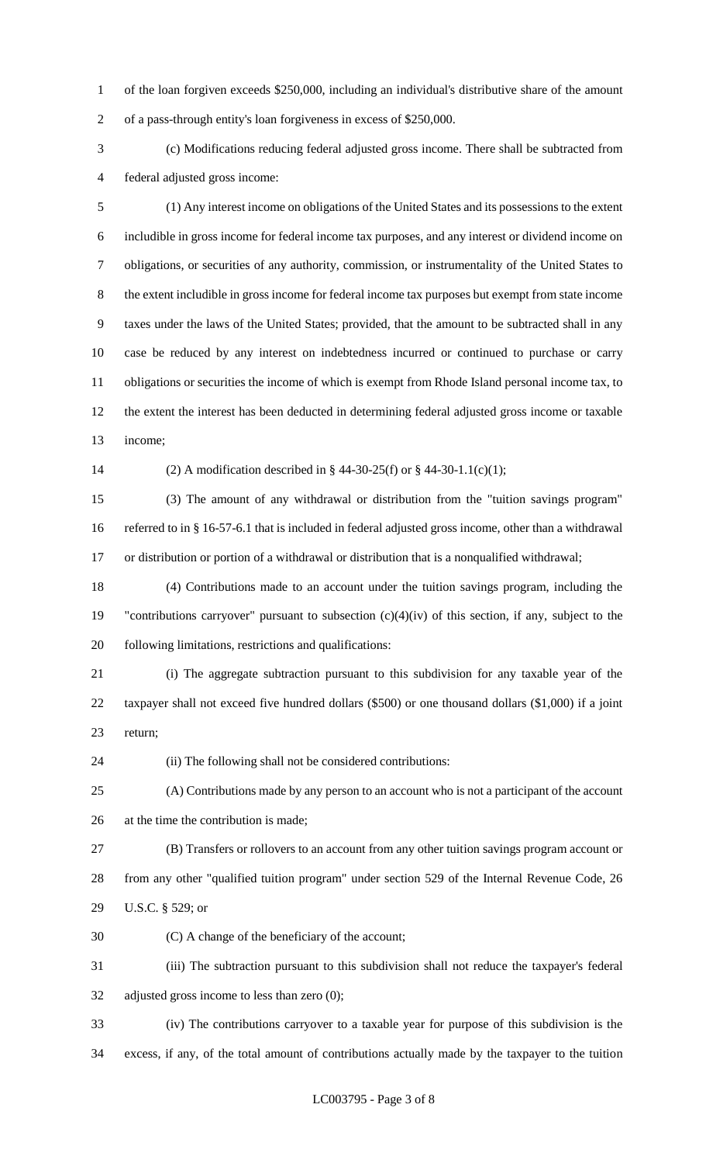of the loan forgiven exceeds \$250,000, including an individual's distributive share of the amount of a pass-through entity's loan forgiveness in excess of \$250,000.

 (c) Modifications reducing federal adjusted gross income. There shall be subtracted from federal adjusted gross income:

 (1) Any interest income on obligations of the United States and its possessions to the extent includible in gross income for federal income tax purposes, and any interest or dividend income on obligations, or securities of any authority, commission, or instrumentality of the United States to the extent includible in gross income for federal income tax purposes but exempt from state income taxes under the laws of the United States; provided, that the amount to be subtracted shall in any case be reduced by any interest on indebtedness incurred or continued to purchase or carry obligations or securities the income of which is exempt from Rhode Island personal income tax, to the extent the interest has been deducted in determining federal adjusted gross income or taxable income;

(2) A modification described in § 44-30-25(f) or § 44-30-1.1(c)(1);

 (3) The amount of any withdrawal or distribution from the "tuition savings program" referred to in § 16-57-6.1 that is included in federal adjusted gross income, other than a withdrawal or distribution or portion of a withdrawal or distribution that is a nonqualified withdrawal;

 (4) Contributions made to an account under the tuition savings program, including the "contributions carryover" pursuant to subsection (c)(4)(iv) of this section, if any, subject to the following limitations, restrictions and qualifications:

 (i) The aggregate subtraction pursuant to this subdivision for any taxable year of the taxpayer shall not exceed five hundred dollars (\$500) or one thousand dollars (\$1,000) if a joint return;

(ii) The following shall not be considered contributions:

 (A) Contributions made by any person to an account who is not a participant of the account at the time the contribution is made;

 (B) Transfers or rollovers to an account from any other tuition savings program account or from any other "qualified tuition program" under section 529 of the Internal Revenue Code, 26 U.S.C. § 529; or

(C) A change of the beneficiary of the account;

 (iii) The subtraction pursuant to this subdivision shall not reduce the taxpayer's federal adjusted gross income to less than zero (0);

 (iv) The contributions carryover to a taxable year for purpose of this subdivision is the excess, if any, of the total amount of contributions actually made by the taxpayer to the tuition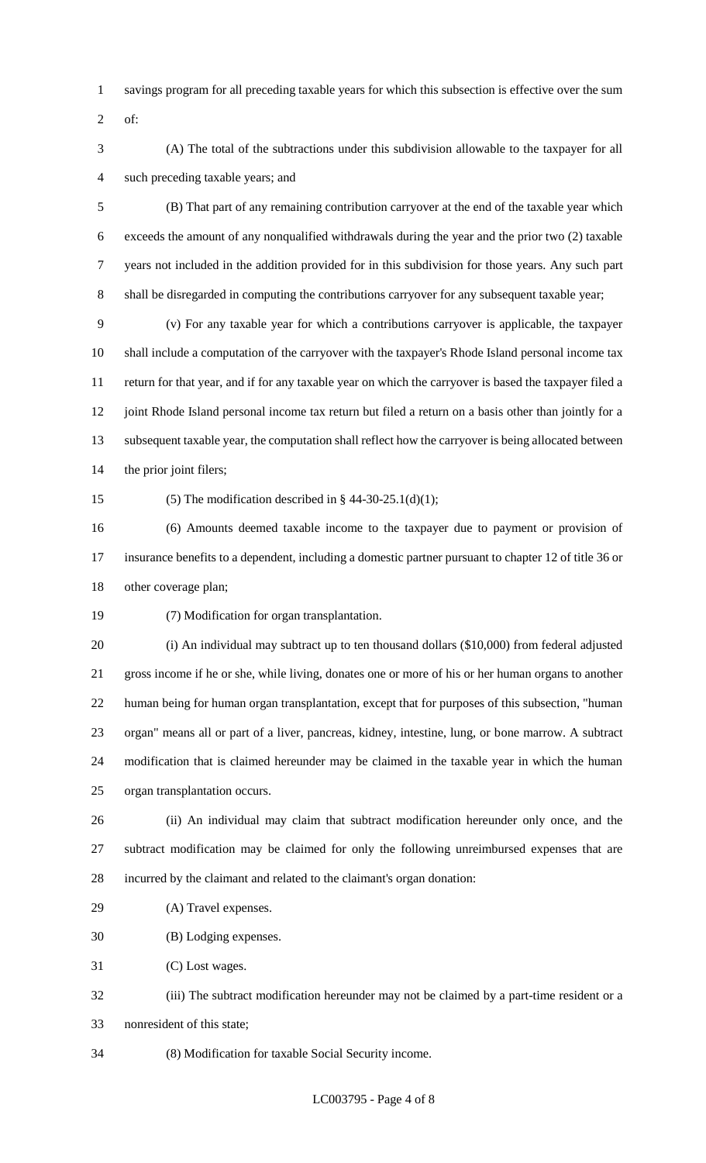- savings program for all preceding taxable years for which this subsection is effective over the sum
- of:
- (A) The total of the subtractions under this subdivision allowable to the taxpayer for all such preceding taxable years; and

 (B) That part of any remaining contribution carryover at the end of the taxable year which exceeds the amount of any nonqualified withdrawals during the year and the prior two (2) taxable years not included in the addition provided for in this subdivision for those years. Any such part shall be disregarded in computing the contributions carryover for any subsequent taxable year;

 (v) For any taxable year for which a contributions carryover is applicable, the taxpayer shall include a computation of the carryover with the taxpayer's Rhode Island personal income tax return for that year, and if for any taxable year on which the carryover is based the taxpayer filed a 12 joint Rhode Island personal income tax return but filed a return on a basis other than jointly for a subsequent taxable year, the computation shall reflect how the carryover is being allocated between the prior joint filers;

15 (5) The modification described in  $\S$  44-30-25.1(d)(1);

 (6) Amounts deemed taxable income to the taxpayer due to payment or provision of insurance benefits to a dependent, including a domestic partner pursuant to chapter 12 of title 36 or other coverage plan;

(7) Modification for organ transplantation.

 (i) An individual may subtract up to ten thousand dollars (\$10,000) from federal adjusted gross income if he or she, while living, donates one or more of his or her human organs to another human being for human organ transplantation, except that for purposes of this subsection, "human organ" means all or part of a liver, pancreas, kidney, intestine, lung, or bone marrow. A subtract modification that is claimed hereunder may be claimed in the taxable year in which the human organ transplantation occurs.

 (ii) An individual may claim that subtract modification hereunder only once, and the subtract modification may be claimed for only the following unreimbursed expenses that are incurred by the claimant and related to the claimant's organ donation:

(A) Travel expenses.

(B) Lodging expenses.

(C) Lost wages.

 (iii) The subtract modification hereunder may not be claimed by a part-time resident or a nonresident of this state;

(8) Modification for taxable Social Security income.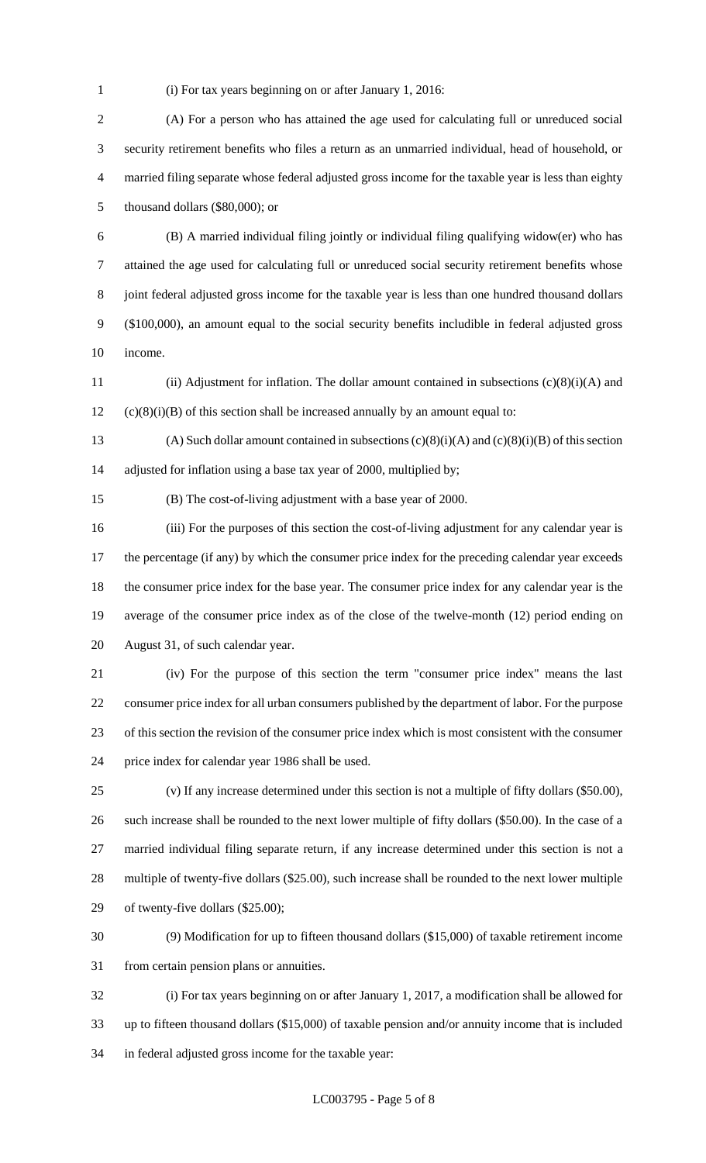(i) For tax years beginning on or after January 1, 2016:

 (A) For a person who has attained the age used for calculating full or unreduced social security retirement benefits who files a return as an unmarried individual, head of household, or married filing separate whose federal adjusted gross income for the taxable year is less than eighty thousand dollars (\$80,000); or

 (B) A married individual filing jointly or individual filing qualifying widow(er) who has attained the age used for calculating full or unreduced social security retirement benefits whose joint federal adjusted gross income for the taxable year is less than one hundred thousand dollars (\$100,000), an amount equal to the social security benefits includible in federal adjusted gross income.

 (ii) Adjustment for inflation. The dollar amount contained in subsections (c)(8)(i)(A) and (c)(8)(i)(B) of this section shall be increased annually by an amount equal to:

13 (A) Such dollar amount contained in subsections  $(c)(8)(i)(A)$  and  $(c)(8)(i)(B)$  of this section adjusted for inflation using a base tax year of 2000, multiplied by;

(B) The cost-of-living adjustment with a base year of 2000.

 (iii) For the purposes of this section the cost-of-living adjustment for any calendar year is 17 the percentage (if any) by which the consumer price index for the preceding calendar year exceeds the consumer price index for the base year. The consumer price index for any calendar year is the average of the consumer price index as of the close of the twelve-month (12) period ending on August 31, of such calendar year.

 (iv) For the purpose of this section the term "consumer price index" means the last consumer price index for all urban consumers published by the department of labor. For the purpose of this section the revision of the consumer price index which is most consistent with the consumer price index for calendar year 1986 shall be used.

 (v) If any increase determined under this section is not a multiple of fifty dollars (\$50.00), such increase shall be rounded to the next lower multiple of fifty dollars (\$50.00). In the case of a married individual filing separate return, if any increase determined under this section is not a multiple of twenty-five dollars (\$25.00), such increase shall be rounded to the next lower multiple of twenty-five dollars (\$25.00);

 (9) Modification for up to fifteen thousand dollars (\$15,000) of taxable retirement income from certain pension plans or annuities.

 (i) For tax years beginning on or after January 1, 2017, a modification shall be allowed for up to fifteen thousand dollars (\$15,000) of taxable pension and/or annuity income that is included in federal adjusted gross income for the taxable year: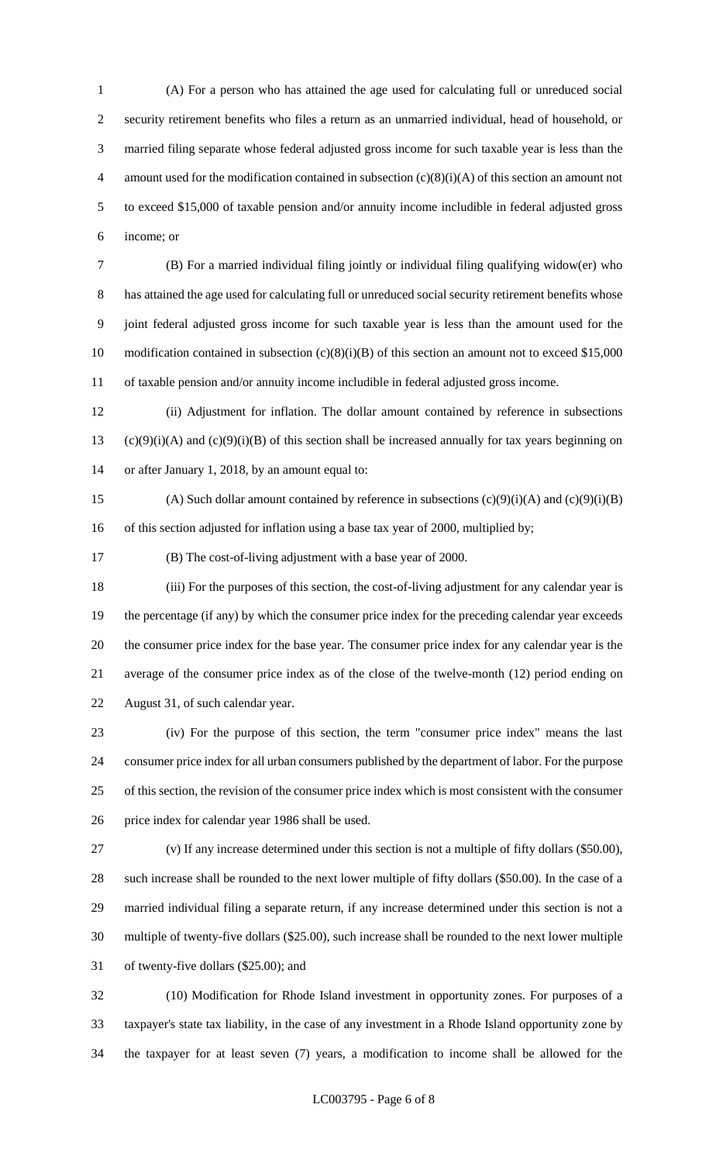(A) For a person who has attained the age used for calculating full or unreduced social security retirement benefits who files a return as an unmarried individual, head of household, or married filing separate whose federal adjusted gross income for such taxable year is less than the 4 amount used for the modification contained in subsection  $(c)(8)(i)(A)$  of this section an amount not to exceed \$15,000 of taxable pension and/or annuity income includible in federal adjusted gross income; or

 (B) For a married individual filing jointly or individual filing qualifying widow(er) who has attained the age used for calculating full or unreduced social security retirement benefits whose joint federal adjusted gross income for such taxable year is less than the amount used for the 10 modification contained in subsection (c)(8)(i)(B) of this section an amount not to exceed \$15,000 of taxable pension and/or annuity income includible in federal adjusted gross income.

 (ii) Adjustment for inflation. The dollar amount contained by reference in subsections 13 (c)(9)(i)(A) and (c)(9)(i)(B) of this section shall be increased annually for tax years beginning on or after January 1, 2018, by an amount equal to:

15 (A) Such dollar amount contained by reference in subsections  $(c)(9)(i)(A)$  and  $(c)(9)(i)(B)$ 16 of this section adjusted for inflation using a base tax year of 2000, multiplied by;

(B) The cost-of-living adjustment with a base year of 2000.

 (iii) For the purposes of this section, the cost-of-living adjustment for any calendar year is the percentage (if any) by which the consumer price index for the preceding calendar year exceeds the consumer price index for the base year. The consumer price index for any calendar year is the average of the consumer price index as of the close of the twelve-month (12) period ending on August 31, of such calendar year.

 (iv) For the purpose of this section, the term "consumer price index" means the last consumer price index for all urban consumers published by the department of labor. For the purpose of this section, the revision of the consumer price index which is most consistent with the consumer price index for calendar year 1986 shall be used.

 (v) If any increase determined under this section is not a multiple of fifty dollars (\$50.00), such increase shall be rounded to the next lower multiple of fifty dollars (\$50.00). In the case of a married individual filing a separate return, if any increase determined under this section is not a multiple of twenty-five dollars (\$25.00), such increase shall be rounded to the next lower multiple of twenty-five dollars (\$25.00); and

 (10) Modification for Rhode Island investment in opportunity zones. For purposes of a taxpayer's state tax liability, in the case of any investment in a Rhode Island opportunity zone by the taxpayer for at least seven (7) years, a modification to income shall be allowed for the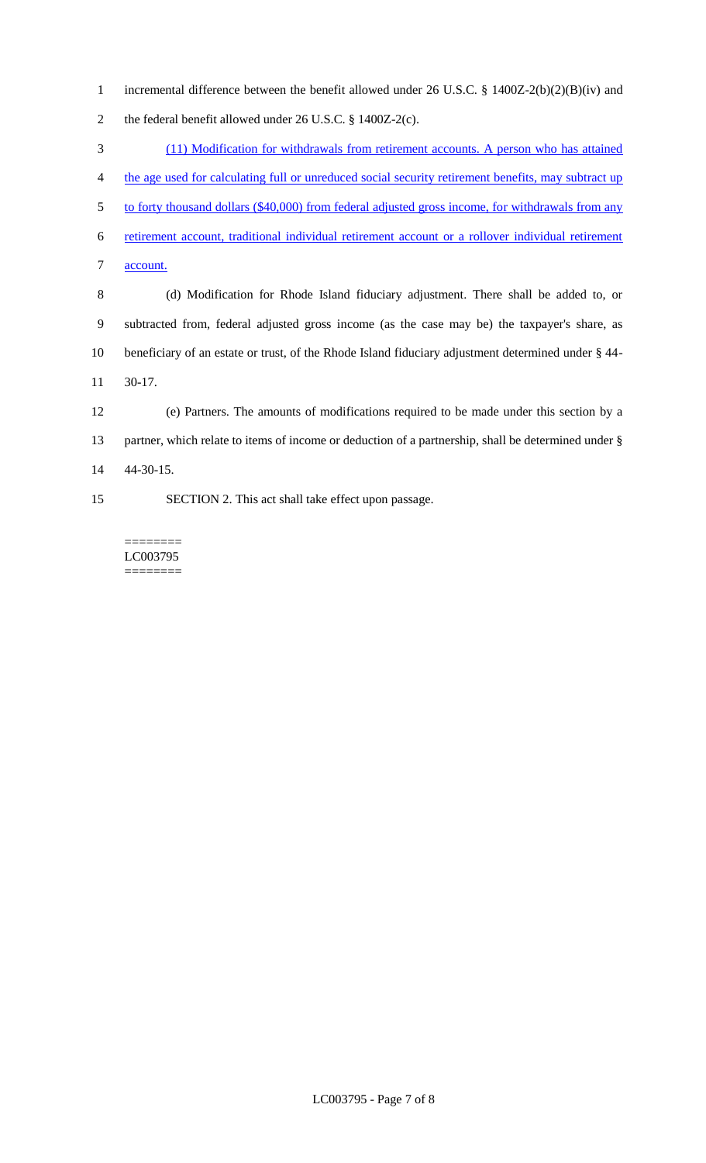incremental difference between the benefit allowed under 26 U.S.C. § 1400Z-2(b)(2)(B)(iv) and the federal benefit allowed under 26 U.S.C. § 1400Z-2(c).

 (11) Modification for withdrawals from retirement accounts. A person who has attained the age used for calculating full or unreduced social security retirement benefits, may subtract up 5 to forty thousand dollars (\$40,000) from federal adjusted gross income, for withdrawals from any retirement account, traditional individual retirement account or a rollover individual retirement account. (d) Modification for Rhode Island fiduciary adjustment. There shall be added to, or subtracted from, federal adjusted gross income (as the case may be) the taxpayer's share, as beneficiary of an estate or trust, of the Rhode Island fiduciary adjustment determined under § 44- 30-17.

 (e) Partners. The amounts of modifications required to be made under this section by a 13 partner, which relate to items of income or deduction of a partnership, shall be determined under § 44-30-15.

SECTION 2. This act shall take effect upon passage.

======== LC003795 ========